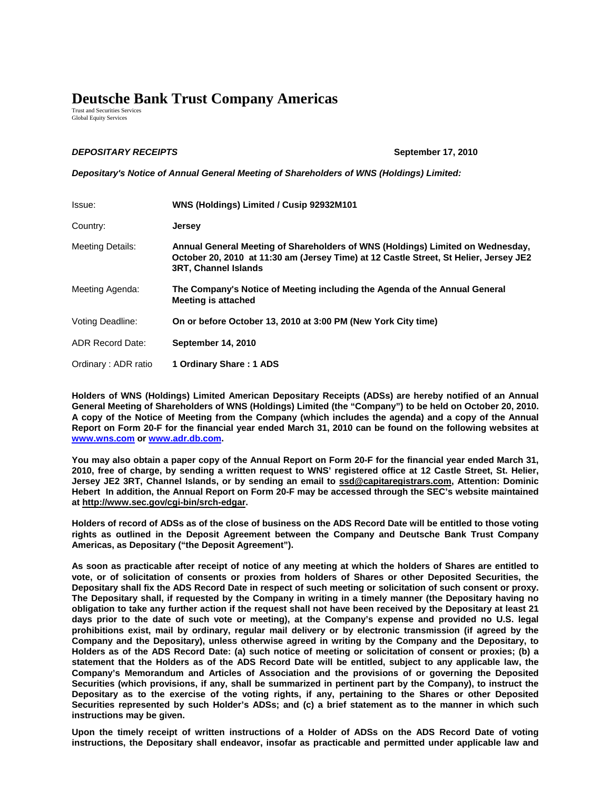## **Deutsche Bank Trust Company Americas**

Trust and Securities Services Global Equity Services

## *DEPOSITARY RECEIPTS* **September 17, 2010**

*Depositary's Notice of Annual General Meeting of Shareholders of WNS (Holdings) Limited:*

| Issue:                  | WNS (Holdings) Limited / Cusip 92932M101                                                                                                                                                               |
|-------------------------|--------------------------------------------------------------------------------------------------------------------------------------------------------------------------------------------------------|
| Country:                | <b>Jersey</b>                                                                                                                                                                                          |
| <b>Meeting Details:</b> | Annual General Meeting of Shareholders of WNS (Holdings) Limited on Wednesday,<br>October 20, 2010 at 11:30 am (Jersey Time) at 12 Castle Street, St Helier, Jersey JE2<br><b>3RT, Channel Islands</b> |
| Meeting Agenda:         | The Company's Notice of Meeting including the Agenda of the Annual General<br><b>Meeting is attached</b>                                                                                               |
| Voting Deadline:        | On or before October 13, 2010 at 3:00 PM (New York City time)                                                                                                                                          |
| <b>ADR Record Date:</b> | September 14, 2010                                                                                                                                                                                     |
| Ordinary: ADR ratio     | 1 Ordinary Share: 1 ADS                                                                                                                                                                                |

**Holders of WNS (Holdings) Limited American Depositary Receipts (ADSs) are hereby notified of an Annual General Meeting of Shareholders of WNS (Holdings) Limited (the "Company") to be held on October 20, 2010. A copy of the Notice of Meeting from the Company (which includes the agenda) and a copy of the Annual Report on Form 20-F for the financial year ended March 31, 2010 can be found on the following websites at [www.wns.com](http://www.wnsgs.com/) or [www.adr.db.com.](http://www.adr.db.com/)** 

**You may also obtain a paper copy of the Annual Report on Form 20-F for the financial year ended March 31, 2010, free of charge, by sending a written request to WNS' registered office at 12 Castle Street, St. Helier, Jersey JE2 3RT, Channel Islands, or by sending an email to ssd@capitaregistrars.com, Attention: Dominic Hebert In addition, the Annual Report on Form 20-F may be accessed through the SEC's website maintained at http://www.sec.gov/cgi-bin/srch-edgar.** 

**Holders of record of ADSs as of the close of business on the ADS Record Date will be entitled to those voting rights as outlined in the Deposit Agreement between the Company and Deutsche Bank Trust Company Americas, as Depositary ("the Deposit Agreement").** 

**As soon as practicable after receipt of notice of any meeting at which the holders of Shares are entitled to vote, or of solicitation of consents or proxies from holders of Shares or other Deposited Securities, the Depositary shall fix the ADS Record Date in respect of such meeting or solicitation of such consent or proxy. The Depositary shall, if requested by the Company in writing in a timely manner (the Depositary having no obligation to take any further action if the request shall not have been received by the Depositary at least 21 days prior to the date of such vote or meeting), at the Company's expense and provided no U.S. legal prohibitions exist, mail by ordinary, regular mail delivery or by electronic transmission (if agreed by the Company and the Depositary), unless otherwise agreed in writing by the Company and the Depositary, to Holders as of the ADS Record Date: (a) such notice of meeting or solicitation of consent or proxies; (b) a statement that the Holders as of the ADS Record Date will be entitled, subject to any applicable law, the Company's Memorandum and Articles of Association and the provisions of or governing the Deposited Securities (which provisions, if any, shall be summarized in pertinent part by the Company), to instruct the Depositary as to the exercise of the voting rights, if any, pertaining to the Shares or other Deposited Securities represented by such Holder's ADSs; and (c) a brief statement as to the manner in which such instructions may be given.** 

**Upon the timely receipt of written instructions of a Holder of ADSs on the ADS Record Date of voting instructions, the Depositary shall endeavor, insofar as practicable and permitted under applicable law and**